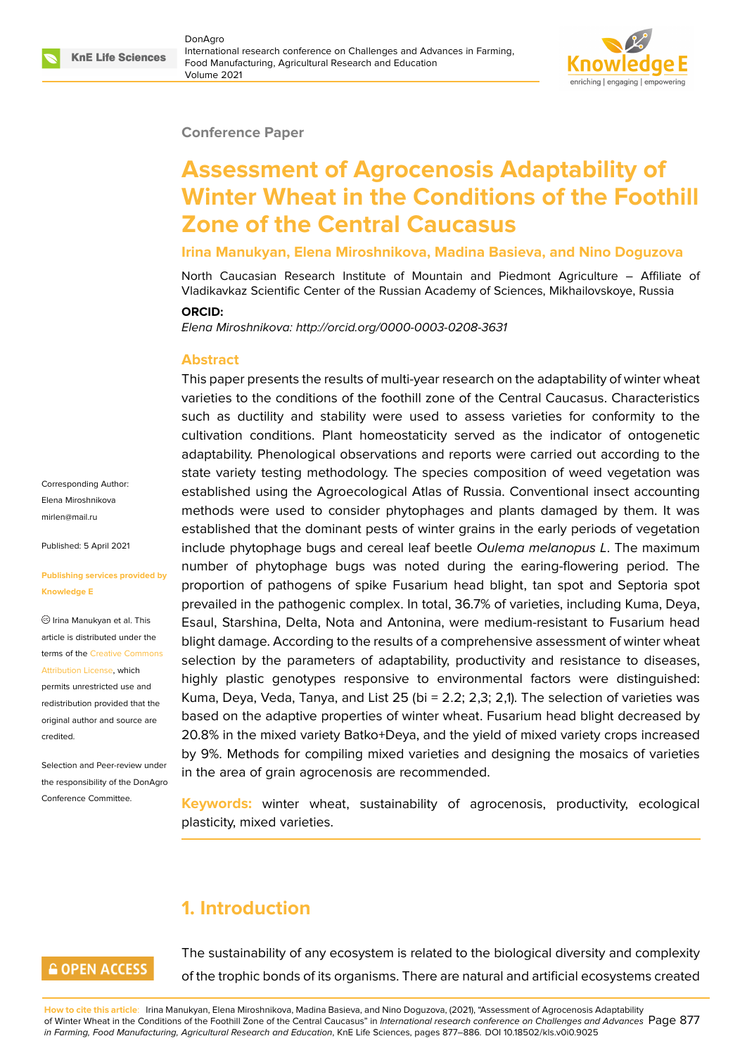#### **Conference Paper**

# **Assessment of Agrocenosis Adaptability of Winter Wheat in the Conditions of the Foothill Zone of the Central Caucasus**

**Irina Manukyan, Elena Miroshnikova, Madina Basieva, and Nino Doguzova**

North Caucasian Research Institute of Mountain and Piedmont Agriculture – Affiliate of Vladikavkaz Scientific Center of the Russian Academy of Sciences, Mikhailovskoye, Russia

#### **ORCID:**

*Elena Miroshnikova: http://orcid.org/0000-0003-0208-3631*

#### **Abstract**

This paper presents the results of multi-year research on the adaptability of winter wheat varieties to the conditions of the foothill zone of the Central Caucasus. Characteristics such as ductility and stability were used to assess varieties for conformity to the cultivation conditions. Plant homeostaticity served as the indicator of ontogenetic adaptability. Phenological observations and reports were carried out according to the state variety testing methodology. The species composition of weed vegetation was established using the Agroecological Atlas of Russia. Conventional insect accounting methods were used to consider phytophages and plants damaged by them. It was established that the dominant pests of winter grains in the early periods of vegetation include phytophage bugs and cereal leaf beetle *Oulema melanopus L*. The maximum number of phytophage bugs was noted during the earing-flowering period. The proportion of pathogens of spike Fusarium head blight, tan spot and Septoria spot prevailed in the pathogenic complex. In total, 36.7% of varieties, including Kuma, Deya, Esaul, Starshina, Delta, Nota and Antonina, were medium-resistant to Fusarium head blight damage. According to the results of a comprehensive assessment of winter wheat selection by the parameters of adaptability, productivity and resistance to diseases, highly plastic genotypes responsive to environmental factors were distinguished: Kuma, Deya, Veda, Tanya, and List 25 (bi  $= 2.2$ ; 2,3; 2,1). The selection of varieties was based on the adaptive properties of winter wheat. Fusarium head blight decreased by 20.8% in the mixed variety Batko+Deya, and the yield of mixed variety crops increased by 9%. Methods for compiling mixed varieties and designing the mosaics of varieties in the area of grain agrocenosis are recommended.

**Keywords:** winter wheat, sustainability of agrocenosis, productivity, ecological plasticity, mixed varieties.

# **1. Introduction**

# **GOPEN ACCESS**

The sustainability of any ecosystem is related to the biological diversity and complexity of the trophic bonds of its organisms. There are natural and artificial ecosystems created

**How to cite this article**: Irina Manukyan, Elena Miroshnikova, Madina Basieva, and Nino Doguzova, (2021), "Assessment of Agrocenosis Adaptability of Winter Wheat in the Conditions of the Foothill Zone of the Central Caucasus" in *International research conference on Challenges and Advances* Page 877 *in Farming, Food Manufacturing, Agricultural Research and Education*, KnE Life Sciences, pages 877–886. DOI 10.18502/kls.v0i0.9025

Corresponding Author: Elena Miroshnikova mirlen@mail.ru

Published: 5 April 2021

#### **[Publishing serv](mailto:mirlen@mail.ru)ices provided by Knowledge E**

Irina Manukyan et al. This article is distributed under the terms of the Creative Commons Attribution License, which

permits unrestricted use and redistribution provided that the original auth[or and source are](https://creativecommons.org/licenses/by/4.0/) [credited.](https://creativecommons.org/licenses/by/4.0/)

Selection and Peer-review under the responsibility of the DonAgro Conference Committee.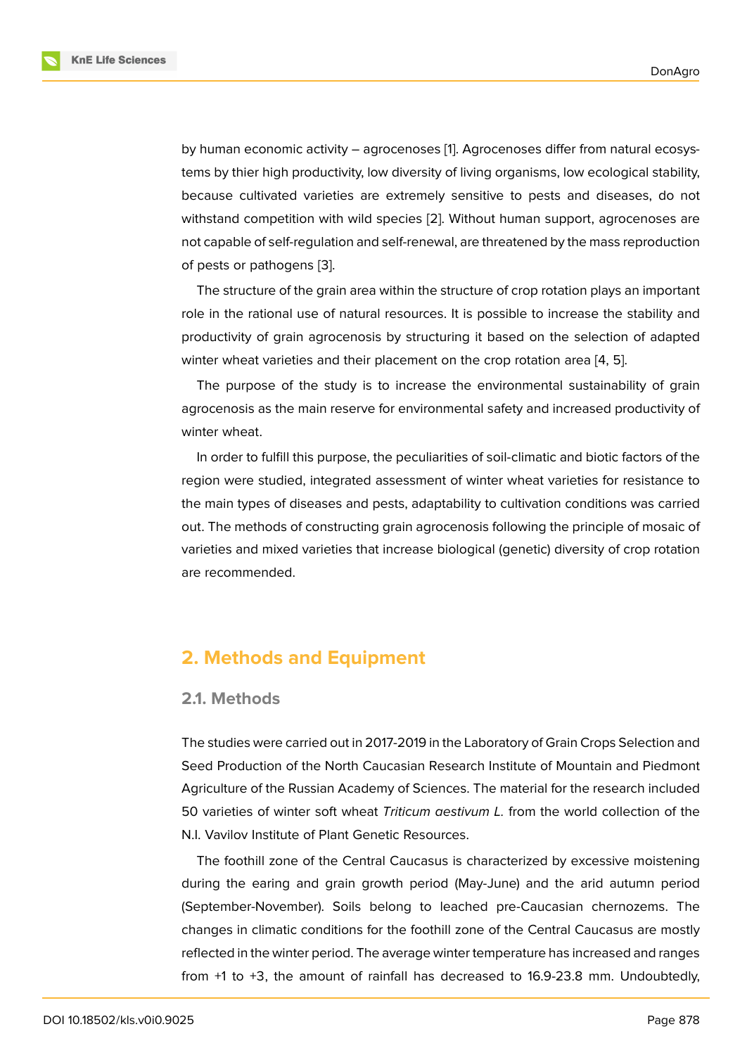by human economic activity – agrocenoses [1]. Agrocenoses differ from natural ecosystems by thier high productivity, low diversity of living organisms, low ecological stability, because cultivated varieties are extremely sensitive to pests and diseases, do not withstand competition with wild species [2]. [W](#page-8-0)ithout human support, agrocenoses are not capable of self-regulation and self-renewal, are threatened by the mass reproduction of pests or pathogens [3].

The structure of the grain area within th[e](#page-8-1) structure of crop rotation plays an important role in the rational use of natural resources. It is possible to increase the stability and productivity of grain a[gro](#page-8-2)cenosis by structuring it based on the selection of adapted winter wheat varieties and their placement on the crop rotation area [4, 5].

The purpose of the study is to increase the environmental sustainability of grain agrocenosis as the main reserve for environmental safety and increased productivity of winter wheat.

In order to fulfill this purpose, the peculiarities of soil-climatic and biotic factors of the region were studied, integrated assessment of winter wheat varieties for resistance to the main types of diseases and pests, adaptability to cultivation conditions was carried out. The methods of constructing grain agrocenosis following the principle of mosaic of varieties and mixed varieties that increase biological (genetic) diversity of crop rotation are recommended.

# **2. Methods and Equipment**

### **2.1. Methods**

The studies were carried out in 2017-2019 in the Laboratory of Grain Crops Selection and Seed Production of the North Caucasian Research Institute of Mountain and Piedmont Agriculture of the Russian Academy of Sciences. The material for the research included 50 varieties of winter soft wheat *Triticum aestivum L.* from the world collection of the N.I. Vavilov Institute of Plant Genetic Resources.

The foothill zone of the Central Caucasus is characterized by excessive moistening during the earing and grain growth period (May-June) and the arid autumn period (September-November). Soils belong to leached pre-Caucasian chernozems. The changes in climatic conditions for the foothill zone of the Central Caucasus are mostly reflected in the winter period. The average winter temperature has increased and ranges from +1 to +3, the amount of rainfall has decreased to 16.9-23.8 mm. Undoubtedly,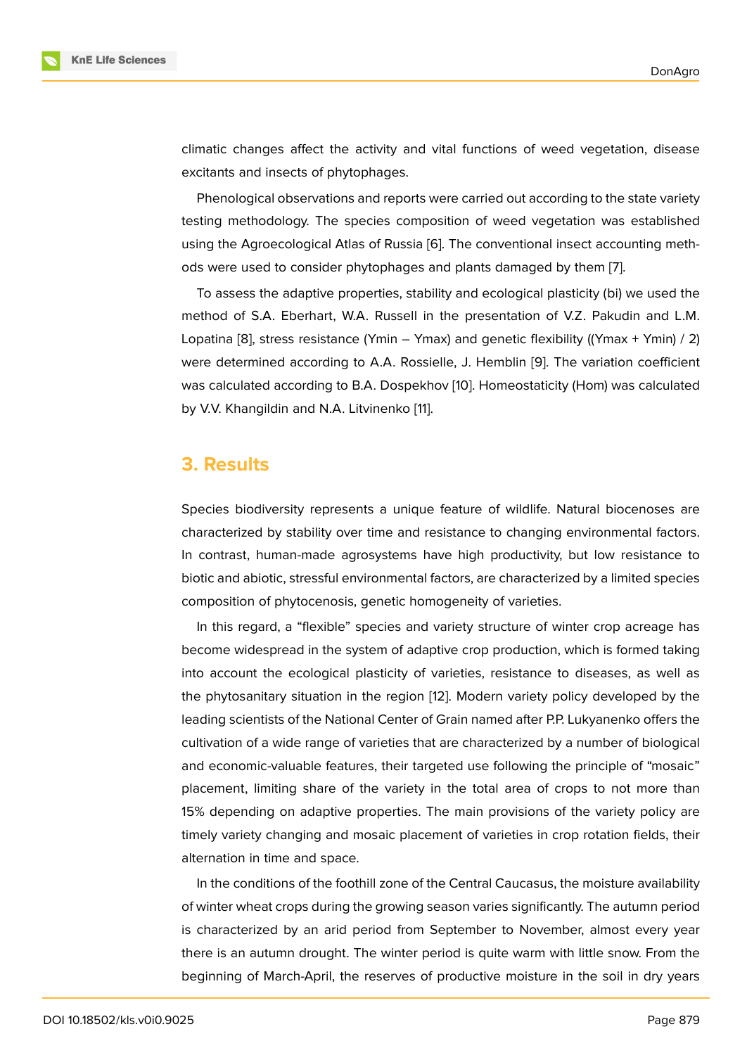climatic changes affect the activity and vital functions of weed vegetation, disease excitants and insects of phytophages.

Phenological observations and reports were carried out according to the state variety testing methodology. The species composition of weed vegetation was established using the Agroecological Atlas of Russia [6]. The conventional insect accounting methods were used to consider phytophages and plants damaged by them [7].

To assess the adaptive properties, stability and ecological plasticity (bi) we used the method of S.A. Eberhart, W.A. Russell i[n](#page-8-3) the presentation of V.Z. Pakudin and L.M. Lopatina [8], stress resistance (Ymin – Ymax) and genetic flexibility ((Y[ma](#page-8-4)x + Ymin) / 2) were determined according to A.A. Rossielle, J. Hemblin [9]. The variation coefficient was calculated according to B.A. Dospekhov [10]. Homeostaticity (Hom) was calculated by V.V. K[ha](#page-8-5)ngildin and N.A. Litvinenko [11].

### **3. Results**

Species biodiversity represents a unique feature of wildlife. Natural biocenoses are characterized by stability over time and resistance to changing environmental factors. In contrast, human-made agrosystems have high productivity, but low resistance to biotic and abiotic, stressful environmental factors, are characterized by a limited species composition of phytocenosis, genetic homogeneity of varieties.

In this regard, a "flexible" species and variety structure of winter crop acreage has become widespread in the system of adaptive crop production, which is formed taking into account the ecological plasticity of varieties, resistance to diseases, as well as the phytosanitary situation in the region [12]. Modern variety policy developed by the leading scientists of the National Center of Grain named after P.P. Lukyanenko offers the cultivation of a wide range of varieties that are characterized by a number of biological and economic-valuable features, their tar[get](#page-8-6)ed use following the principle of "mosaic" placement, limiting share of the variety in the total area of crops to not more than 15% depending on adaptive properties. The main provisions of the variety policy are timely variety changing and mosaic placement of varieties in crop rotation fields, their alternation in time and space.

In the conditions of the foothill zone of the Central Caucasus, the moisture availability of winter wheat crops during the growing season varies significantly. The autumn period is characterized by an arid period from September to November, almost every year there is an autumn drought. The winter period is quite warm with little snow. From the beginning of March-April, the reserves of productive moisture in the soil in dry years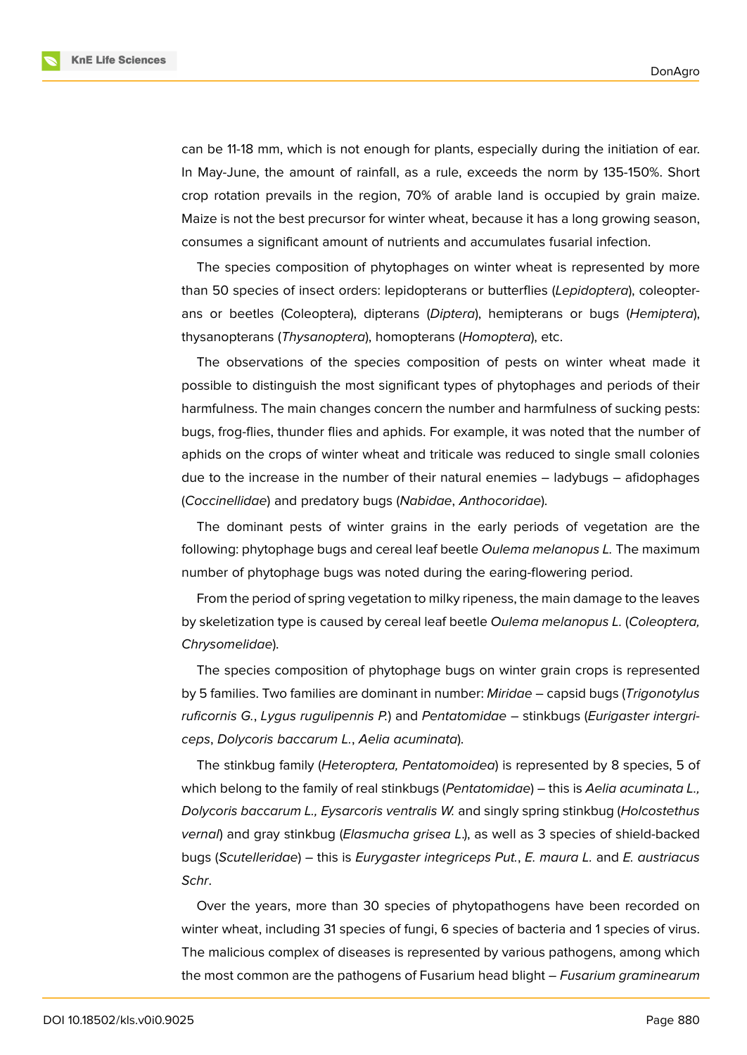**KnE Life Sciences** 

can be 11-18 mm, which is not enough for plants, especially during the initiation of ear. In May-June, the amount of rainfall, as a rule, exceeds the norm by 135-150%. Short crop rotation prevails in the region, 70% of arable land is occupied by grain maize. Maize is not the best precursor for winter wheat, because it has a long growing season, consumes a significant amount of nutrients and accumulates fusarial infection.

The species composition of phytophages on winter wheat is represented by more than 50 species of insect orders: lepidopterans or butterflies (*Lepidoptera*), coleopterans or beetles (Coleoptera), dipterans (*Diptera*), hemipterans or bugs (*Hemiptera*), thysanopterans (*Thysanoptera*), homopterans (*Homoptera*), etc.

The observations of the species composition of pests on winter wheat made it possible to distinguish the most significant types of phytophages and periods of their harmfulness. The main changes concern the number and harmfulness of sucking pests: bugs, frog-flies, thunder flies and aphids. For example, it was noted that the number of aphids on the crops of winter wheat and triticale was reduced to single small colonies due to the increase in the number of their natural enemies – ladybugs – afidophages (*Coccinellidae*) and predatory bugs (*Nabidae*, *Anthocoridae*).

The dominant pests of winter grains in the early periods of vegetation are the following: phytophage bugs and cereal leaf beetle *Oulema melanopus L.* The maximum number of phytophage bugs was noted during the earing-flowering period.

From the period of spring vegetation to milky ripeness, the main damage to the leaves by skeletization type is caused by cereal leaf beetle *Oulema melanopus L.* (*Coleoptera, Chrysomelidae*).

The species composition of phytophage bugs on winter grain crops is represented by 5 families. Two families are dominant in number: *Miridae* – capsid bugs (*Trigonotylus ruficornis G.*, *Lygus rugulipennis P.*) and *Pentatomidae* – stinkbugs (*Eurigaster intergriceps*, *Dolycoris baccarum L.*, *Aelia acuminata*).

The stinkbug family (*Heteroptera, Pentatomoidea*) is represented by 8 species, 5 of which belong to the family of real stinkbugs (*Pentatomidae*) – this is *Aelia acuminata L., Dolycoris baccarum L., Eysarcoris ventralis W.* and singly spring stinkbug (*Holcostethus vernal*) and gray stinkbug (*Elasmucha grisea L*.), as well as 3 species of shield-backed bugs (*Scutelleridae*) – this is *Eurygaster integriceps Put.*, *E. maura L.* and *E. austriacus Schr*.

Over the years, more than 30 species of phytopathogens have been recorded on winter wheat, including 31 species of fungi, 6 species of bacteria and 1 species of virus. The malicious complex of diseases is represented by various pathogens, among which the most common are the pathogens of Fusarium head blight – *Fusarium graminearum*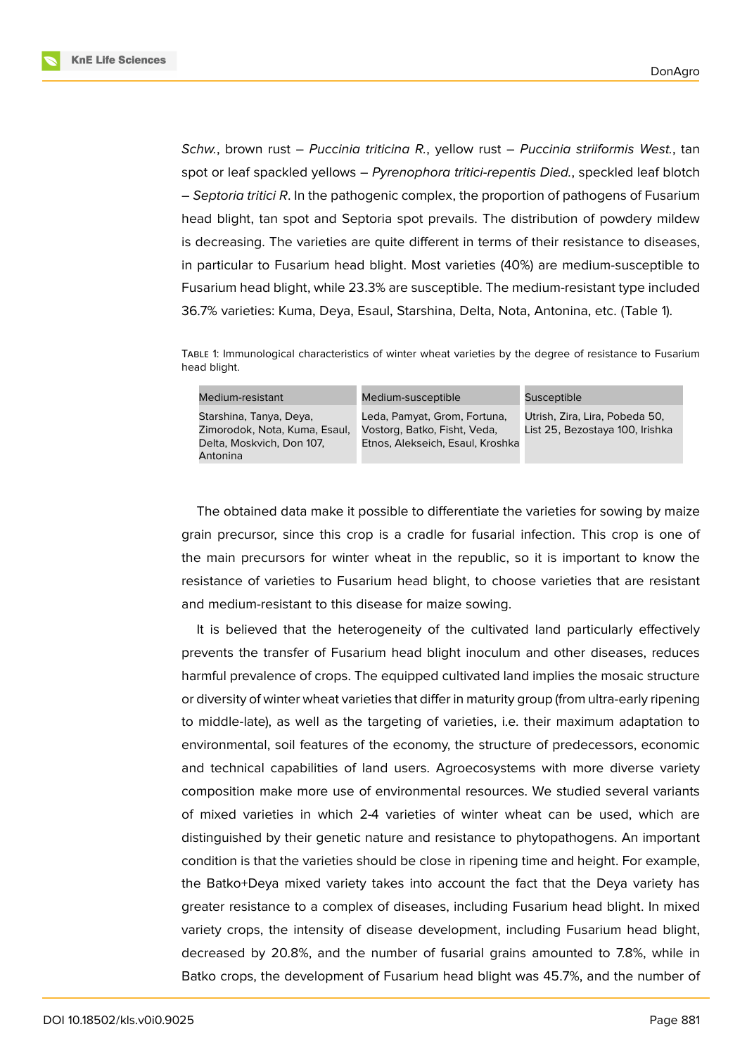**KnE Life Sciences** 



*Schw.*, brown rust – *Puccinia triticina R.*, yellow rust – *Puccinia striiformis West.*, tan spot or leaf spackled yellows – *Pyrenophora tritici-repentis Died.*, speckled leaf blotch – *Septoria tritici R*. In the pathogenic complex, the proportion of pathogens of Fusarium head blight, tan spot and Septoria spot prevails. The distribution of powdery mildew is decreasing. The varieties are quite different in terms of their resistance to diseases, in particular to Fusarium head blight. Most varieties (40%) are medium-susceptible to Fusarium head blight, while 23.3% are susceptible. The medium-resistant type included 36.7% varieties: Kuma, Deya, Esaul, Starshina, Delta, Nota, Antonina, etc. (Table 1).

TABLE 1: Immunological characteristics of winter wheat varieties by the degree of resistance to Fusarium head blight.

| Medium-resistant                                                                      | Medium-susceptible                                                                               | Susceptible                                                       |
|---------------------------------------------------------------------------------------|--------------------------------------------------------------------------------------------------|-------------------------------------------------------------------|
| Starshina, Tanya, Deya,<br>Zimorodok, Nota, Kuma, Esaul,<br>Delta, Moskvich, Don 107, | Leda, Pamyat, Grom, Fortuna,<br>Vostorg, Batko, Fisht, Veda,<br>Etnos, Alekseich, Esaul, Kroshka | Utrish, Zira, Lira, Pobeda 50,<br>List 25, Bezostaya 100, Irishka |
| Antonina                                                                              |                                                                                                  |                                                                   |

The obtained data make it possible to differentiate the varieties for sowing by maize grain precursor, since this crop is a cradle for fusarial infection. This crop is one of the main precursors for winter wheat in the republic, so it is important to know the resistance of varieties to Fusarium head blight, to choose varieties that are resistant and medium-resistant to this disease for maize sowing.

It is believed that the heterogeneity of the cultivated land particularly effectively prevents the transfer of Fusarium head blight inoculum and other diseases, reduces harmful prevalence of crops. The equipped cultivated land implies the mosaic structure or diversity of winter wheat varieties that differ in maturity group (from ultra-early ripening to middle-late), as well as the targeting of varieties, i.e. their maximum adaptation to environmental, soil features of the economy, the structure of predecessors, economic and technical capabilities of land users. Agroecosystems with more diverse variety composition make more use of environmental resources. We studied several variants of mixed varieties in which 2-4 varieties of winter wheat can be used, which are distinguished by their genetic nature and resistance to phytopathogens. An important condition is that the varieties should be close in ripening time and height. For example, the Batko+Deya mixed variety takes into account the fact that the Deya variety has greater resistance to a complex of diseases, including Fusarium head blight. In mixed variety crops, the intensity of disease development, including Fusarium head blight, decreased by 20.8%, and the number of fusarial grains amounted to 7.8%, while in Batko crops, the development of Fusarium head blight was 45.7%, and the number of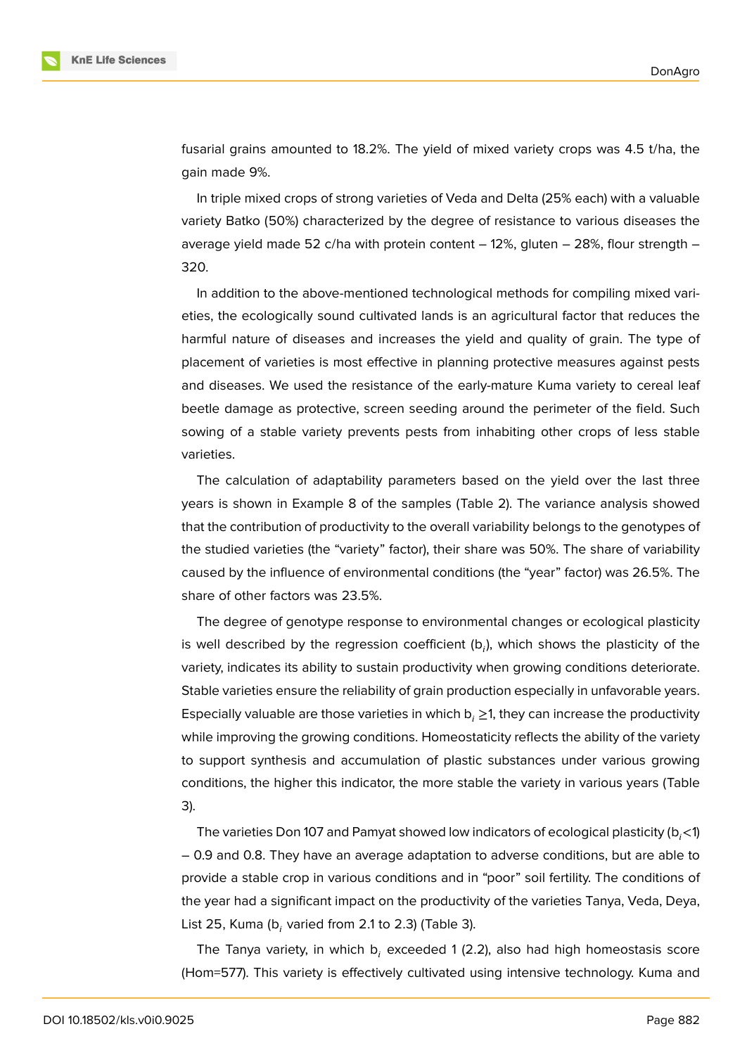

fusarial grains amounted to 18.2%. The yield of mixed variety crops was 4.5 t/ha, the gain made 9%.

In triple mixed crops of strong varieties of Veda and Delta (25% each) with a valuable variety Batko (50%) characterized by the degree of resistance to various diseases the average yield made 52 c/ha with protein content  $-12%$ , gluten  $-28%$ , flour strength  $-$ 320.

In addition to the above-mentioned technological methods for compiling mixed varieties, the ecologically sound cultivated lands is an agricultural factor that reduces the harmful nature of diseases and increases the yield and quality of grain. The type of placement of varieties is most effective in planning protective measures against pests and diseases. We used the resistance of the early-mature Kuma variety to cereal leaf beetle damage as protective, screen seeding around the perimeter of the field. Such sowing of a stable variety prevents pests from inhabiting other crops of less stable varieties.

The calculation of adaptability parameters based on the yield over the last three years is shown in Example 8 of the samples (Table 2). The variance analysis showed that the contribution of productivity to the overall variability belongs to the genotypes of the studied varieties (the "variety" factor), their share was 50%. The share of variability caused by the influence of environmental conditions (the "year" factor) was 26.5%. The share of other factors was 23.5%.

The degree of genotype response to environmental changes or ecological plasticity is well described by the regression coefficient (b<sub>i</sub>), which shows the plasticity of the variety, indicates its ability to sustain productivity when growing conditions deteriorate. Stable varieties ensure the reliability of grain production especially in unfavorable years. Especially valuable are those varieties in which  $b_i \geq 1$ , they can increase the productivity while improving the growing conditions. Homeostaticity reflects the ability of the variety to support synthesis and accumulation of plastic substances under various growing conditions, the higher this indicator, the more stable the variety in various years (Table 3).

The varieties Don 107 and Pamyat showed low indicators of ecological plasticity  $(b, < 1)$ – 0.9 and 0.8. They have an average adaptation to adverse conditions, but are able to provide a stable crop in various conditions and in "poor" soil fertility. The conditions of the year had a significant impact on the productivity of the varieties Tanya, Veda, Deya, List 25, Kuma (b $_{i}$  varied from 2.1 to 2.3) (Table 3).

The Tanya variety, in which b<sub>i</sub> exceeded 1 (2.2), also had high homeostasis score (Hom=577). This variety is effectively cultivated using intensive technology. Kuma and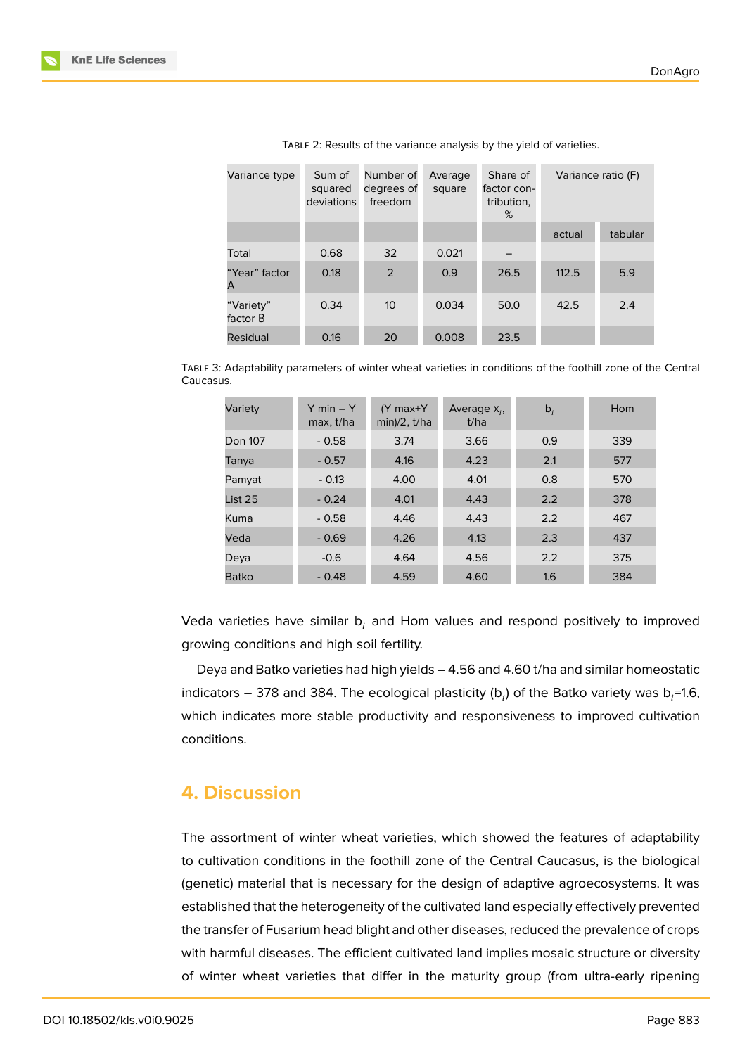| Variance type         | Sum of<br>squared<br>deviations | Number of<br>degrees of<br>freedom | Average<br>square | Share of<br>factor con-<br>tribution,<br>% | Variance ratio (F) |         |
|-----------------------|---------------------------------|------------------------------------|-------------------|--------------------------------------------|--------------------|---------|
|                       |                                 |                                    |                   |                                            | actual             | tabular |
| Total                 | 0.68                            | 32                                 | 0.021             |                                            |                    |         |
| "Year" factor<br>A    | 0.18                            | 2                                  | 0.9               | 26.5                                       | 112.5              | 5.9     |
| "Variety"<br>factor B | 0.34                            | 10 <sup>°</sup>                    | 0.034             | 50.0                                       | 42.5               | 2.4     |
| Residual              | 0.16                            | 20                                 | 0.008             | 23.5                                       |                    |         |

TABLE 2: Results of the variance analysis by the yield of varieties.

TABLE 3: Adaptability parameters of winter wheat varieties in conditions of the foothill zone of the Central Caucasus.

| Variety | $Y min - Y$<br>max, t/ha | $(Y$ max+ $Y$<br>$min)/2$ , $t/ha$ | Average $X_i$ ,<br>t/ha | $b_i$ | Hom |
|---------|--------------------------|------------------------------------|-------------------------|-------|-----|
| Don 107 | $-0.58$                  | 3.74                               | 3.66                    | 0.9   | 339 |
| Tanya   | $-0.57$                  | 4.16                               | 4.23                    | 2.1   | 577 |
| Pamyat  | $-0.13$                  | 4.00                               | 4.01                    | 0.8   | 570 |
| List 25 | $-0.24$                  | 4.01                               | 4.43                    | 2.2   | 378 |
| Kuma    | $-0.58$                  | 4.46                               | 4.43                    | 2.2   | 467 |
| Veda    | $-0.69$                  | 4.26                               | 4.13                    | 2.3   | 437 |
| Deya    | $-0.6$                   | 4.64                               | 4.56                    | 2.2   | 375 |
| Batko   | $-0.48$                  | 4.59                               | 4.60                    | 1.6   | 384 |

Veda varieties have similar b<sub>i</sub> and Hom values and respond positively to improved growing conditions and high soil fertility.

Deya and Batko varieties had high yields – 4.56 and 4.60 t/ha and similar homeostatic indicators – 378 and 384. The ecological plasticity (b<sub>i</sub>) of the Batko variety was b<sub>i</sub>=1.6, which indicates more stable productivity and responsiveness to improved cultivation conditions.

# **4. Discussion**

The assortment of winter wheat varieties, which showed the features of adaptability to cultivation conditions in the foothill zone of the Central Caucasus, is the biological (genetic) material that is necessary for the design of adaptive agroecosystems. It was established that the heterogeneity of the cultivated land especially effectively prevented the transfer of Fusarium head blight and other diseases, reduced the prevalence of crops with harmful diseases. The efficient cultivated land implies mosaic structure or diversity of winter wheat varieties that differ in the maturity group (from ultra-early ripening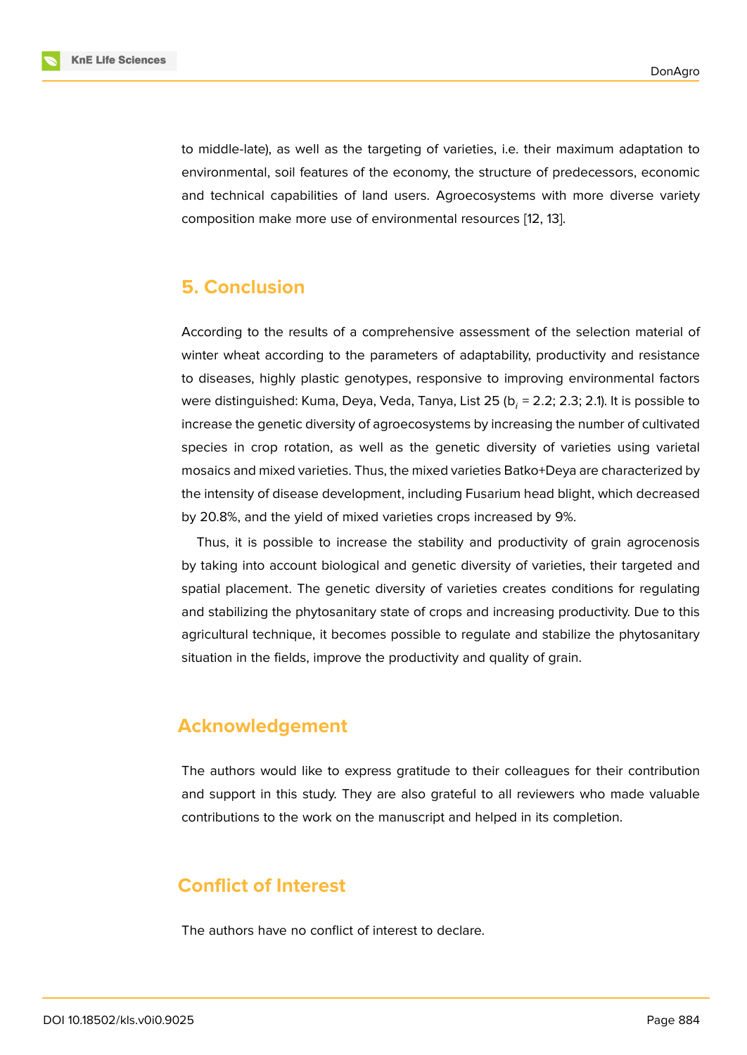to middle-late), as well as the targeting of varieties, i.e. their maximum adaptation to environmental, soil features of the economy, the structure of predecessors, economic and technical capabilities of land users. Agroecosystems with more diverse variety composition make more use of environmental resources [12, 13].

# **5. Conclusion**

According to the results of a comprehensive assessment of the selection material of winter wheat according to the parameters of adaptability, productivity and resistance to diseases, highly plastic genotypes, responsive to improving environmental factors were distinguished: Kuma, Deya, Veda, Tanya, List 25 (b $_i$  = 2.2; 2.3; 2.1). It is possible to increase the genetic diversity of agroecosystems by increasing the number of cultivated species in crop rotation, as well as the genetic diversity of varieties using varietal mosaics and mixed varieties. Thus, the mixed varieties Batko+Deya are characterized by the intensity of disease development, including Fusarium head blight, which decreased by 20.8%, and the yield of mixed varieties crops increased by 9%.

Thus, it is possible to increase the stability and productivity of grain agrocenosis by taking into account biological and genetic diversity of varieties, their targeted and spatial placement. The genetic diversity of varieties creates conditions for regulating and stabilizing the phytosanitary state of crops and increasing productivity. Due to this agricultural technique, it becomes possible to regulate and stabilize the phytosanitary situation in the fields, improve the productivity and quality of grain.

# **Acknowledgement**

The authors would like to express gratitude to their colleagues for their contribution and support in this study. They are also grateful to all reviewers who made valuable contributions to the work on the manuscript and helped in its completion.

# **Conflict of Interest**

The authors have no conflict of interest to declare.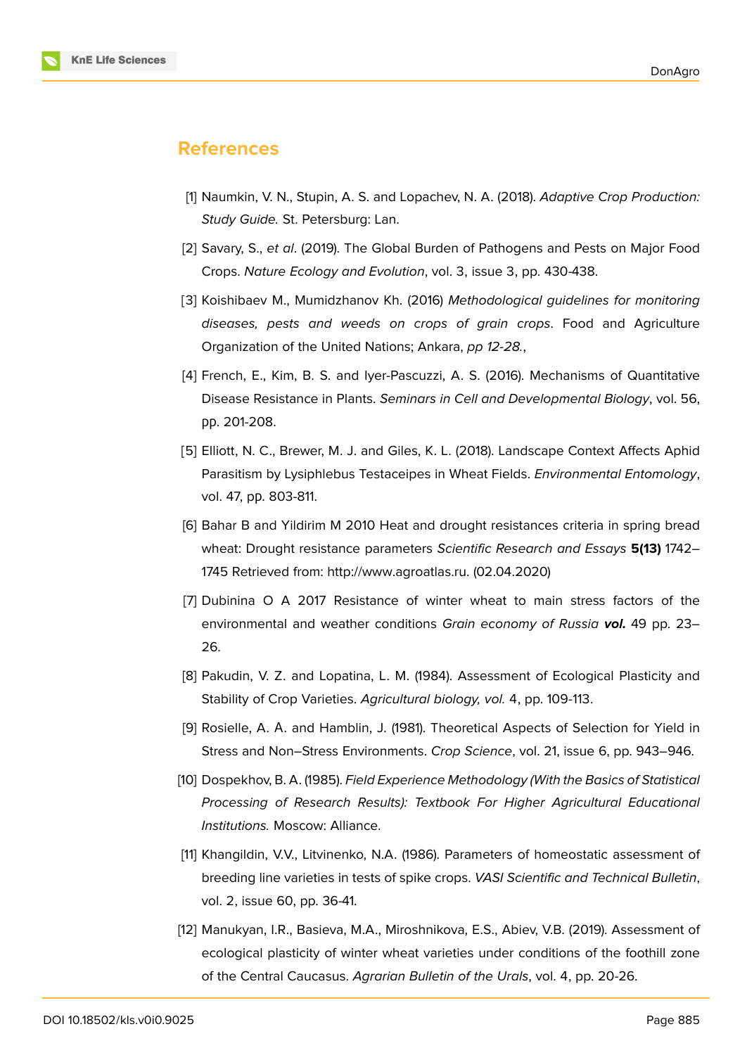## **References**

- [1] Naumkin, V. N., Stupin, A. S. and Lopachev, N. A. (2018). *Adaptive Crop Production: Study Guide.* St. Petersburg: Lan.
- <span id="page-8-0"></span>[2] Savary, S., *et al*. (2019). The Global Burden of Pathogens and Pests on Major Food Crops. *Nature Ecology and Evolution*, vol. 3, issue 3, pp. 430-438.
- <span id="page-8-1"></span>[3] Koishibaev M., Mumidzhanov Kh. (2016) *Methodological guidelines for monitoring diseases, pests and weeds on crops of grain crops*. Food and Agriculture Organization of the United Nations; Ankara, *pp 12-28.*,
- <span id="page-8-2"></span>[4] French, E., Kim, B. S. and Iyer-Pascuzzi, A. S. (2016). Mechanisms of Quantitative Disease Resistance in Plants. *Seminars in Cell and Developmental Biology*, vol. 56, рр. 201-208.
- [5] Elliott, N. C., Brewer, M. J. and Giles, K. L. (2018). Landscape Context Affects Aphid Parasitism by Lysiphlebus Testaceipes in Wheat Fields. *Environmental Entomology*, vol. 47, pр. 803-811.
- [6] Bahar B and Yildirim M 2010 Heat and drought resistances criteria in spring bread wheat: Drought resistance parameters *Scientific Research and Essays* **5(13)** 1742– 1745 Retrieved from: http://www.agroatlas.ru. (02.04.2020)
- <span id="page-8-3"></span>[7] Dubinina O A 2017 Resistance of winter wheat to main stress factors of the environmental and [weather conditions](http://www.agroatlas.ru.) *Grain economy of Russia vol.* 49 pp. 23– 26.
- <span id="page-8-4"></span>[8] Pakudin, V. Z. and Lopatina, L. M. (1984). Assessment of Ecological Plasticity and Stability of Crop Varieties. *Agricultural biology, vol.* 4, pp. 109-113.
- <span id="page-8-5"></span>[9] Rosielle, A. A. and Hamblin, J. (1981). Theoretical Aspects of Selection for Yield in Stress and Non–Stress Environments. *Crop Science*, vol. 21, issue 6, pp. 943–946.
- [10] Dospekhov, B. A. (1985). *Field Experience Methodology (With the Basics of Statistical Processing of Research Results): Textbook For Higher Agricultural Educational Institutions.* Moscow: Alliance.
- [11] Khangildin, V.V., Litvinenko, N.A. (1986). Parameters of homeostatic assessment of breeding line varieties in tests of spike crops. *VASI Scientific and Technical Bulletin*, vol. 2, issue 60, pp. 36-41.
- <span id="page-8-6"></span>[12] Manukyan, I.R., Basieva, M.A., Miroshnikova, E.S., Abiev, V.B. (2019). Assessment of ecological plasticity of winter wheat varieties under conditions of the foothill zone of the Central Caucasus. *Agrarian Bulletin of the Urals*, vol. 4, pp. 20-26.